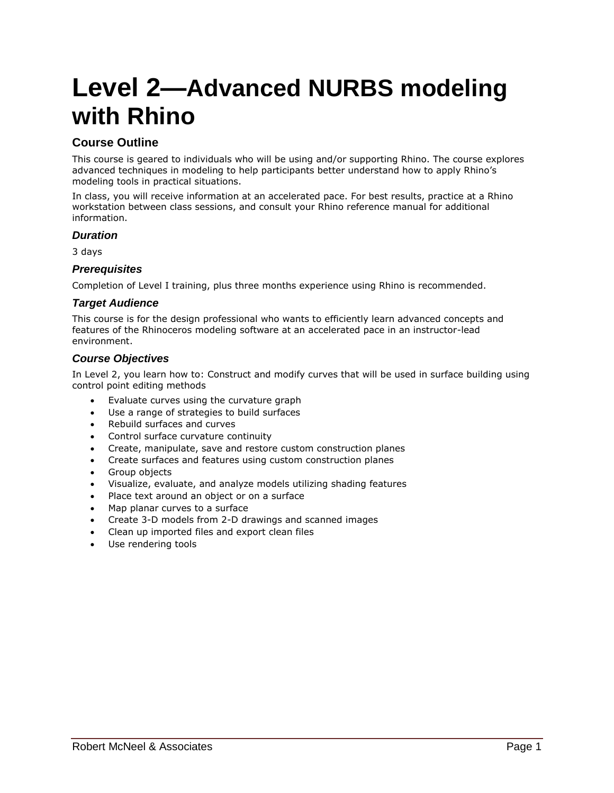# **Level 2—Advanced NURBS modeling with Rhino**

# **Course Outline**

This course is geared to individuals who will be using and/or supporting Rhino. The course explores advanced techniques in modeling to help participants better understand how to apply Rhino's modeling tools in practical situations.

In class, you will receive information at an accelerated pace. For best results, practice at a Rhino workstation between class sessions, and consult your Rhino reference manual for additional information.

#### *Duration*

3 days

#### *Prerequisites*

Completion of Level I training, plus three months experience using Rhino is recommended.

### *Target Audience*

This course is for the design professional who wants to efficiently learn advanced concepts and features of the Rhinoceros modeling software at an accelerated pace in an instructor-lead environment.

#### *Course Objectives*

In Level 2, you learn how to: Construct and modify curves that will be used in surface building using control point editing methods

- Evaluate curves using the curvature graph
- Use a range of strategies to build surfaces
- Rebuild surfaces and curves
- Control surface curvature continuity
- Create, manipulate, save and restore custom construction planes
- Create surfaces and features using custom construction planes
- Group objects
- Visualize, evaluate, and analyze models utilizing shading features
- Place text around an object or on a surface
- Map planar curves to a surface
- Create 3-D models from 2-D drawings and scanned images
- Clean up imported files and export clean files
- Use rendering tools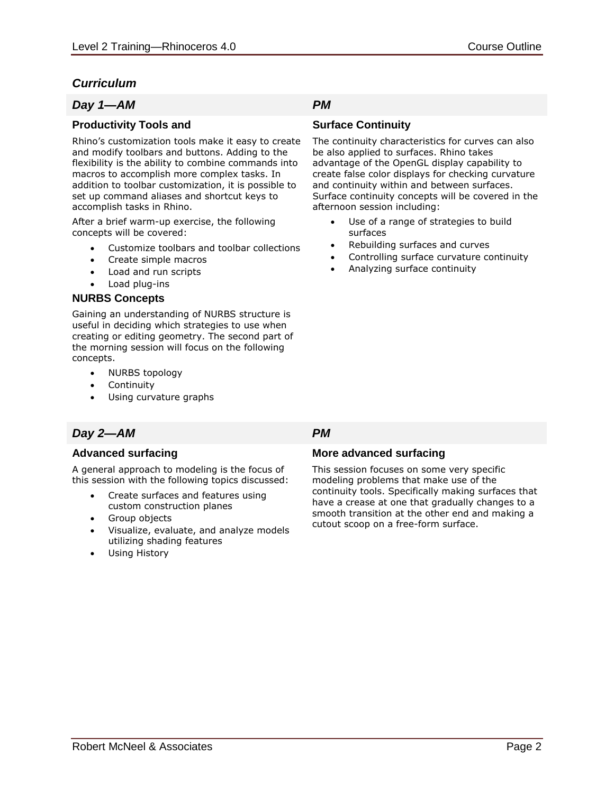# *Curriculum*

### *Day 1—AM PM*

### **Productivity Tools and**

Rhino's customization tools make it easy to create and modify toolbars and buttons. Adding to the flexibility is the ability to combine commands into macros to accomplish more complex tasks. In addition to toolbar customization, it is possible to set up command aliases and shortcut keys to accomplish tasks in Rhino.

After a brief warm-up exercise, the following concepts will be covered:

- Customize toolbars and toolbar collections
- Create simple macros
- Load and run scripts
- Load plug-ins

### **NURBS Concepts**

Gaining an understanding of NURBS structure is useful in deciding which strategies to use when creating or editing geometry. The second part of the morning session will focus on the following concepts.

- NURBS topology
- Continuity
- Using curvature graphs

# *Day 2—AM PM*

### **Advanced surfacing**

A general approach to modeling is the focus of this session with the following topics discussed:

- Create surfaces and features using custom construction planes
- Group objects
- Visualize, evaluate, and analyze models utilizing shading features
- Using History

### **Surface Continuity**

The continuity characteristics for curves can also be also applied to surfaces. Rhino takes advantage of the OpenGL display capability to create false color displays for checking curvature and continuity within and between surfaces. Surface continuity concepts will be covered in the afternoon session including:

- Use of a range of strategies to build surfaces
- Rebuilding surfaces and curves
- Controlling surface curvature continuity
- Analyzing surface continuity

### **More advanced surfacing**

This session focuses on some very specific modeling problems that make use of the continuity tools. Specifically making surfaces that have a crease at one that gradually changes to a smooth transition at the other end and making a cutout scoop on a free-form surface.